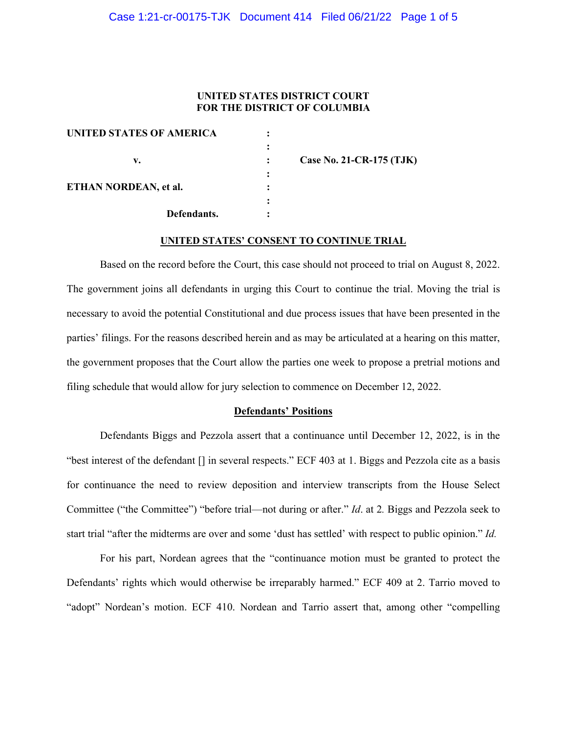### Case 1:21-cr-00175-TJK Document 414 Filed 06/21/22 Page 1 of 5

### **UNITED STATES DISTRICT COURT FOR THE DISTRICT OF COLUMBIA**

| UNITED STATES OF AMERICA |                          |
|--------------------------|--------------------------|
|                          |                          |
| v.                       | Case No. 21-CR-175 (TJK) |
|                          |                          |
| ETHAN NORDEAN, et al.    |                          |
|                          |                          |
| Defendants.              |                          |

## **UNITED STATES' CONSENT TO CONTINUE TRIAL**

Based on the record before the Court, this case should not proceed to trial on August 8, 2022. The government joins all defendants in urging this Court to continue the trial. Moving the trial is necessary to avoid the potential Constitutional and due process issues that have been presented in the parties' filings. For the reasons described herein and as may be articulated at a hearing on this matter, the government proposes that the Court allow the parties one week to propose a pretrial motions and filing schedule that would allow for jury selection to commence on December 12, 2022.

### **Defendants' Positions**

Defendants Biggs and Pezzola assert that a continuance until December 12, 2022, is in the "best interest of the defendant [] in several respects." ECF 403 at 1. Biggs and Pezzola cite as a basis for continuance the need to review deposition and interview transcripts from the House Select Committee ("the Committee") "before trial—not during or after." *Id*. at 2*.* Biggs and Pezzola seek to start trial "after the midterms are over and some 'dust has settled' with respect to public opinion." *Id.*

For his part, Nordean agrees that the "continuance motion must be granted to protect the Defendants' rights which would otherwise be irreparably harmed." ECF 409 at 2. Tarrio moved to "adopt" Nordean's motion. ECF 410. Nordean and Tarrio assert that, among other "compelling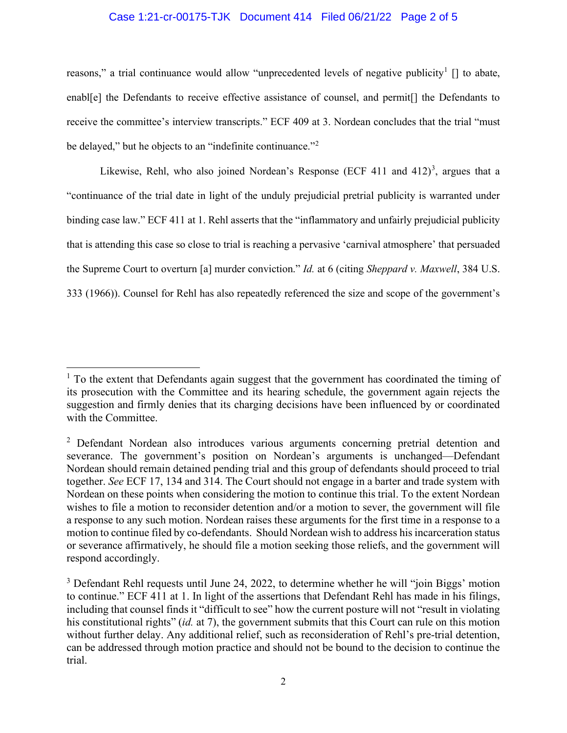# Case 1:21-cr-00175-TJK Document 414 Filed 06/21/22 Page 2 of 5

reasons," a trial continuance would allow "unprecedented levels of negative publicity<sup>[1](#page-1-0)</sup>  $\lceil \rceil$  to abate, enabl[e] the Defendants to receive effective assistance of counsel, and permit[] the Defendants to receive the committee's interview transcripts." ECF 409 at 3. Nordean concludes that the trial "must be delayed," but he objects to an "indefinite continuance."<sup>[2](#page-1-1)</sup>

Likewise, Rehl, who also joined Nordean's Response (ECF 411 and  $412)^3$  $412)^3$ , argues that a "continuance of the trial date in light of the unduly prejudicial pretrial publicity is warranted under binding case law." ECF 411 at 1. Rehl asserts that the "inflammatory and unfairly prejudicial publicity that is attending this case so close to trial is reaching a pervasive 'carnival atmosphere' that persuaded the Supreme Court to overturn [a] murder conviction." *Id.* at 6 (citing *Sheppard v. Maxwell*, 384 U.S. 333 (1966)). Counsel for Rehl has also repeatedly referenced the size and scope of the government's

<span id="page-1-0"></span> $<sup>1</sup>$  To the extent that Defendants again suggest that the government has coordinated the timing of</sup> its prosecution with the Committee and its hearing schedule, the government again rejects the suggestion and firmly denies that its charging decisions have been influenced by or coordinated with the Committee.

<span id="page-1-1"></span><sup>&</sup>lt;sup>2</sup> Defendant Nordean also introduces various arguments concerning pretrial detention and severance. The government's position on Nordean's arguments is unchanged—Defendant Nordean should remain detained pending trial and this group of defendants should proceed to trial together. *See* ECF 17, 134 and 314. The Court should not engage in a barter and trade system with Nordean on these points when considering the motion to continue this trial. To the extent Nordean wishes to file a motion to reconsider detention and/or a motion to sever, the government will file a response to any such motion. Nordean raises these arguments for the first time in a response to a motion to continue filed by co-defendants. Should Nordean wish to address his incarceration status or severance affirmatively, he should file a motion seeking those reliefs, and the government will respond accordingly.

<span id="page-1-2"></span><sup>&</sup>lt;sup>3</sup> Defendant Rehl requests until June 24, 2022, to determine whether he will "join Biggs' motion" to continue." ECF 411 at 1. In light of the assertions that Defendant Rehl has made in his filings, including that counsel finds it "difficult to see" how the current posture will not "result in violating his constitutional rights" (*id.* at 7), the government submits that this Court can rule on this motion without further delay. Any additional relief, such as reconsideration of Rehl's pre-trial detention, can be addressed through motion practice and should not be bound to the decision to continue the trial.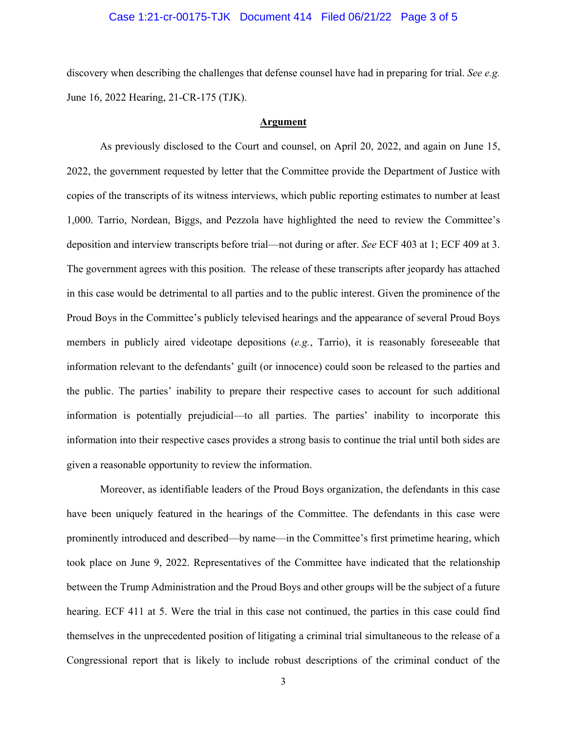### Case 1:21-cr-00175-TJK Document 414 Filed 06/21/22 Page 3 of 5

discovery when describing the challenges that defense counsel have had in preparing for trial. *See e.g.* June 16, 2022 Hearing, 21-CR-175 (TJK).

#### **Argument**

As previously disclosed to the Court and counsel, on April 20, 2022, and again on June 15, 2022, the government requested by letter that the Committee provide the Department of Justice with copies of the transcripts of its witness interviews, which public reporting estimates to number at least 1,000. Tarrio, Nordean, Biggs, and Pezzola have highlighted the need to review the Committee's deposition and interview transcripts before trial—not during or after. *See* ECF 403 at 1; ECF 409 at 3. The government agrees with this position. The release of these transcripts after jeopardy has attached in this case would be detrimental to all parties and to the public interest. Given the prominence of the Proud Boys in the Committee's publicly televised hearings and the appearance of several Proud Boys members in publicly aired videotape depositions (*e.g.*, Tarrio), it is reasonably foreseeable that information relevant to the defendants' guilt (or innocence) could soon be released to the parties and the public. The parties' inability to prepare their respective cases to account for such additional information is potentially prejudicial—to all parties. The parties' inability to incorporate this information into their respective cases provides a strong basis to continue the trial until both sides are given a reasonable opportunity to review the information.

Moreover, as identifiable leaders of the Proud Boys organization, the defendants in this case have been uniquely featured in the hearings of the Committee. The defendants in this case were prominently introduced and described—by name—in the Committee's first primetime hearing, which took place on June 9, 2022. Representatives of the Committee have indicated that the relationship between the Trump Administration and the Proud Boys and other groups will be the subject of a future hearing. ECF 411 at 5. Were the trial in this case not continued, the parties in this case could find themselves in the unprecedented position of litigating a criminal trial simultaneous to the release of a Congressional report that is likely to include robust descriptions of the criminal conduct of the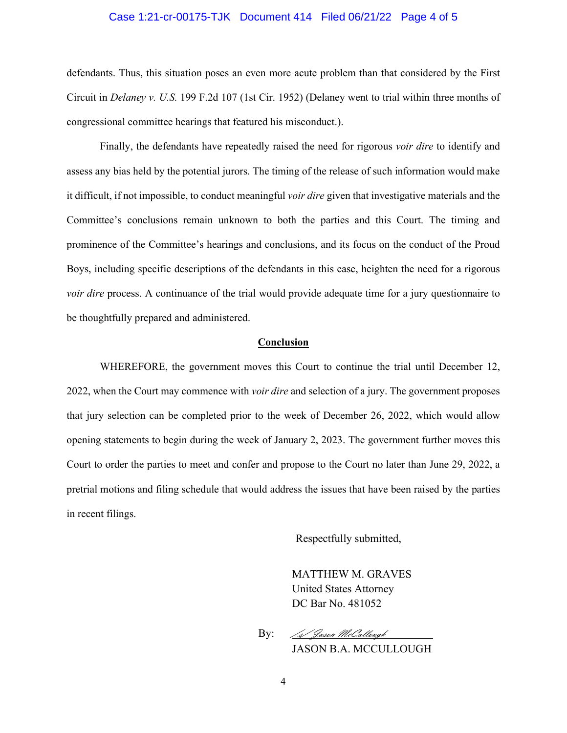### Case 1:21-cr-00175-TJK Document 414 Filed 06/21/22 Page 4 of 5

defendants. Thus, this situation poses an even more acute problem than that considered by the First Circuit in *Delaney v. U.S.* 199 F.2d 107 (1st Cir. 1952) (Delaney went to trial within three months of congressional committee hearings that featured his misconduct.).

Finally, the defendants have repeatedly raised the need for rigorous *voir dire* to identify and assess any bias held by the potential jurors. The timing of the release of such information would make it difficult, if not impossible, to conduct meaningful *voir dire* given that investigative materials and the Committee's conclusions remain unknown to both the parties and this Court. The timing and prominence of the Committee's hearings and conclusions, and its focus on the conduct of the Proud Boys, including specific descriptions of the defendants in this case, heighten the need for a rigorous *voir dire* process. A continuance of the trial would provide adequate time for a jury questionnaire to be thoughtfully prepared and administered.

## **Conclusion**

WHEREFORE, the government moves this Court to continue the trial until December 12, 2022, when the Court may commence with *voir dire* and selection of a jury. The government proposes that jury selection can be completed prior to the week of December 26, 2022, which would allow opening statements to begin during the week of January 2, 2023. The government further moves this Court to order the parties to meet and confer and propose to the Court no later than June 29, 2022, a pretrial motions and filing schedule that would address the issues that have been raised by the parties in recent filings.

Respectfully submitted,

MATTHEW M. GRAVES United States Attorney DC Bar No. 481052

By: /s/ Jason McCullough

JASON B.A. MCCULLOUGH